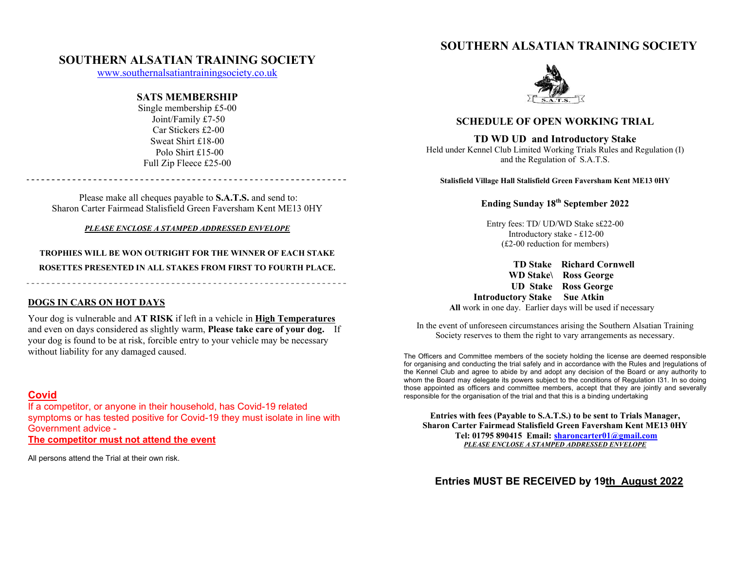# **SOUTHERN ALSATIAN TRAINING SOCIETY**

# **SOUTHERN ALSATIAN TRAINING SOCIETY**

www.southernalsatiantrainingsociety.co.uk

## **SATS MEMBERSHIP**

Single membership £5-00 Joint/Family £7-50 Car Stickers £2-00 Sweat Shirt £18-00 Polo Shirt £15-00 Full Zip Fleece £25-00

Please make all cheques payable to **S.A.T.S.** and send to: Sharon Carter Fairmead Stalisfield Green Faversham Kent ME13 0HY

### *PLEASE ENCLOSE A STAMPED ADDRESSED ENVELOPE*

**TROPHIES WILL BE WON OUTRIGHT FOR THE WINNER OF EACH STAKE ROSETTES PRESENTED IN ALL STAKES FROM FIRST TO FOURTH PLACE.** 

**DOGS IN CARS ON HOT DAYS**

Your dog is vulnerable and **AT RISK** if left in a vehicle in **High Temperatures**  and even on days considered as slightly warm, **Please take care of your dog.** If your dog is found to be at risk, forcible entry to your vehicle may be necessary without liability for any damaged caused.

# **Covid**

If a competitor, or anyone in their household, has Covid-19 related symptoms or has tested positive for Covid-19 they must isolate in line with Government advice -

**The competitor must not attend the event** 

All persons attend the Trial at their own risk.



## **SCHEDULE OF OPEN WORKING TRIAL**

### **TD WD UD and Introductory Stake**

Held under Kennel Club Limited Working Trials Rules and Regulation (I) and the Regulation of S.A.T.S.

**Stalisfield Village Hall Stalisfield Green Faversham Kent ME13 0HY** 

# **Ending Sunday 18th September 2022**

Entry fees: TD/ UD/WD Stake s£22-00 Introductory stake - £12-00 (£2-00 reduction for members)

 **TD Stake Richard Cornwell WD Stake\ Ross George UD Stake Ross George Introductory Stake Sue Atkin All** work in one day. Earlier days will be used if necessary

In the event of unforeseen circumstances arising the Southern Alsatian Training Society reserves to them the right to vary arrangements as necessary.

The Officers and Committee members of the society holding the license are deemed responsible for organising and conducting the trial safely and in accordance with the Rules and |regulations of the Kennel Club and agree to abide by and adopt any decision of the Board or any authority to whom the Board may delegate its powers subject to the conditions of Regulation I31. In so doing those appointed as officers and committee members, accept that they are jointly and severally responsible for the organisation of the trial and that this is a binding undertaking

**Entries with fees (Payable to S.A.T.S.) to be sent to Trials Manager, Sharon Carter Fairmead Stalisfield Green Faversham Kent ME13 0HY Tel: 01795 890415 Email: sharoncarter01@gmail.com** *PLEASE ENCLOSE A STAMPED ADDRESSED ENVELOPE* 

**Entries MUST BE RECEIVED by 19th August 2022**